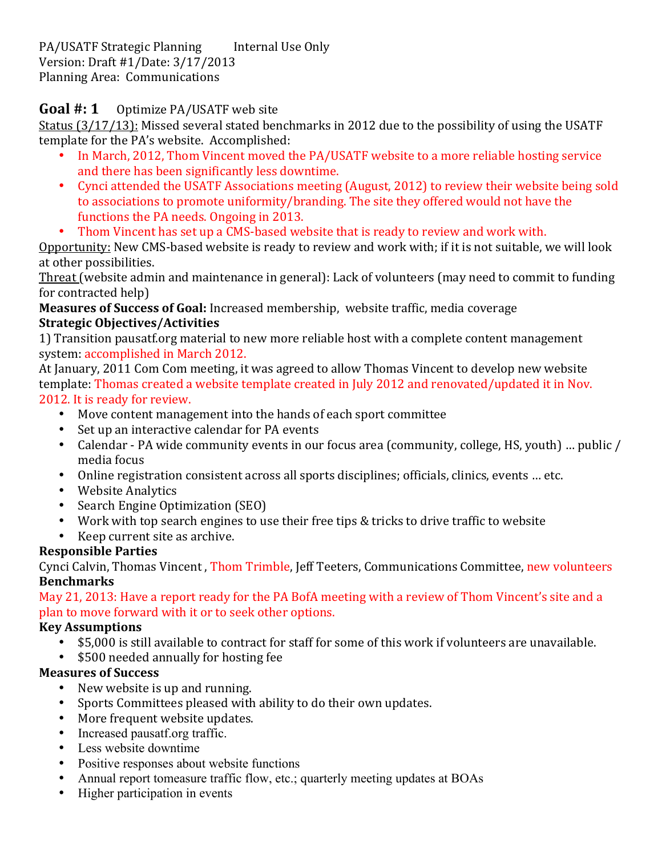PA/USATF Strategic Planning Internal Use Only Version: Draft #1/Date: 3/17/2013 Planning Area: Communications

## **Goal #: 1** Optimize PA/USATF web site

Status (3/17/13): Missed several stated benchmarks in 2012 due to the possibility of using the USATF template for the PA's website. Accomplished:

- In March, 2012, Thom Vincent moved the PA/USATF website to a more reliable hosting service and there has been significantly less downtime.
- Cynci attended the USATF Associations meeting (August, 2012) to review their website being sold to associations to promote uniformity/branding. The site they offered would not have the functions the PA needs. Ongoing in 2013.
- Thom Vincent has set up a CMS-based website that is ready to review and work with.

Opportunity: New CMS-based website is ready to review and work with; if it is not suitable, we will look at other possibilities.

Threat (website admin and maintenance in general): Lack of volunteers (may need to commit to funding for contracted help)

**Measures of Success of Goal:** Increased membership, website traffic, media coverage **Strategic%Objectives/Activities**

1) Transition pausatf.org material to new more reliable host with a complete content management system: accomplished in March 2012.

At January, 2011 Com Com meeting, it was agreed to allow Thomas Vincent to develop new website template: Thomas created a website template created in July 2012 and renovated/updated it in Nov. 2012. It is ready for review.

- Move content management into the hands of each sport committee
- Set up an interactive calendar for PA events
- Calendar PA wide community events in our focus area (community, college, HS, youth) ... public / media focus
- Online registration consistent across all sports disciplines; officials, clinics, events ... etc.
- Website Analytics
- Search Engine Optimization (SEO)
- Work with top search engines to use their free tips & tricks to drive traffic to website
- Keep current site as archive.

#### **Responsible%Parties**

Cynci Calvin, Thomas Vincent, Thom Trimble, Jeff Teeters, Communications Committee, new volunteers **Benchmarks**

May 21, 2013: Have a report ready for the PA BofA meeting with a review of Thom Vincent's site and a plan to move forward with it or to seek other options.

#### **Key%Assumptions**

- \$5,000 is still available to contract for staff for some of this work if volunteers are unavailable.<br>• \$500 needed annually for hosting fee
- \$500 needed annually for hosting fee

#### **Measures of Success**

- New website is up and running.
- Sports Committees pleased with ability to do their own updates.
- More frequent website updates.
- Increased pausatf.org traffic.
- Less website downtime
- Positive responses about website functions
- Annual report tomeasure traffic flow, etc.; quarterly meeting updates at BOAs
- Higher participation in events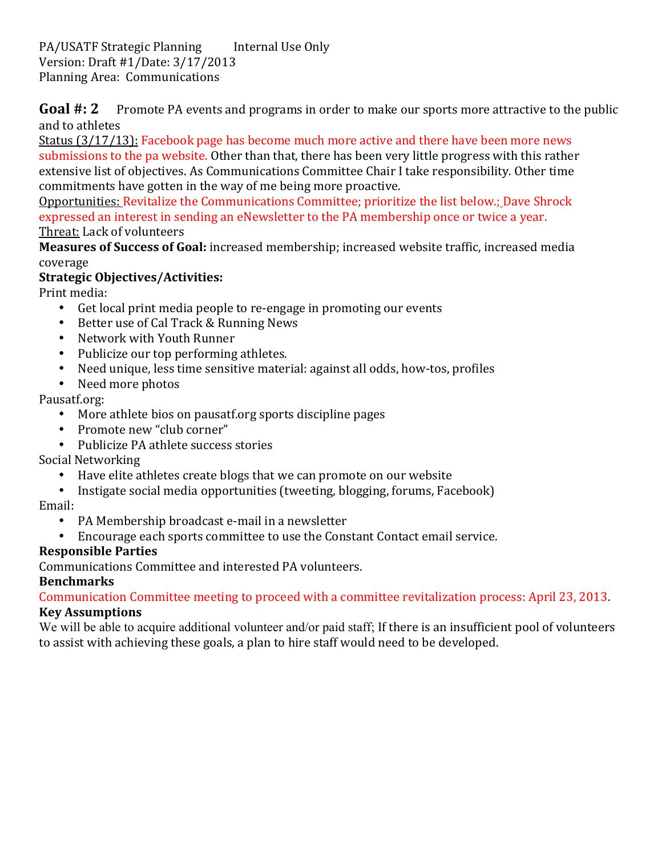PA/USATF Strategic Planning Internal Use Only Version: Draft #1/Date: 3/17/2013 Planning Area: Communications

**Goal #: 2** Promote PA events and programs in order to make our sports more attractive to the public and to athletes

Status  $(3/17/13)$ : Facebook page has become much more active and there have been more news submissions to the pa website. Other than that, there has been very little progress with this rather extensive list of objectives. As Communications Committee Chair I take responsibility. Other time commitments have gotten in the way of me being more proactive.

Opportunities: Revitalize the Communications Committee; prioritize the list below.; Dave Shrock expressed an interest in sending an eNewsletter to the PA membership once or twice a year. Threat: Lack of volunteers

**Measures of Success of Goal:** increased membership; increased website traffic, increased media coverage

# **Strategic%Objectives/Activities:**

Print media:

- Get local print media people to re-engage in promoting our events
- Better use of Cal Track & Running News
- Network with Youth Runner
- Publicize our top performing athletes.
- Need unique, less time sensitive material: against all odds, how-tos, profiles
- Need more photos

## Pausatf.org:

- More athlete bios on pausatf.org sports discipline pages
- Promote new "club corner"
- Publicize PA athlete success stories

## Social Networking

- Have elite athletes create blogs that we can promote on our website
- Instigate social media opportunities (tweeting, blogging, forums, Facebook)

## Email:

- PA Membership broadcast e-mail in a newsletter
- Encourage each sports committee to use the Constant Contact email service.

## **Responsible%Parties**

Communications Committee and interested PA volunteers.

## **Benchmarks**

Communication Committee meeting to proceed with a committee revitalization process: April 23, 2013. **Key Assumptions** 

We will be able to acquire additional volunteer and/or paid staff; If there is an insufficient pool of volunteers to assist with achieving these goals, a plan to hire staff would need to be developed.